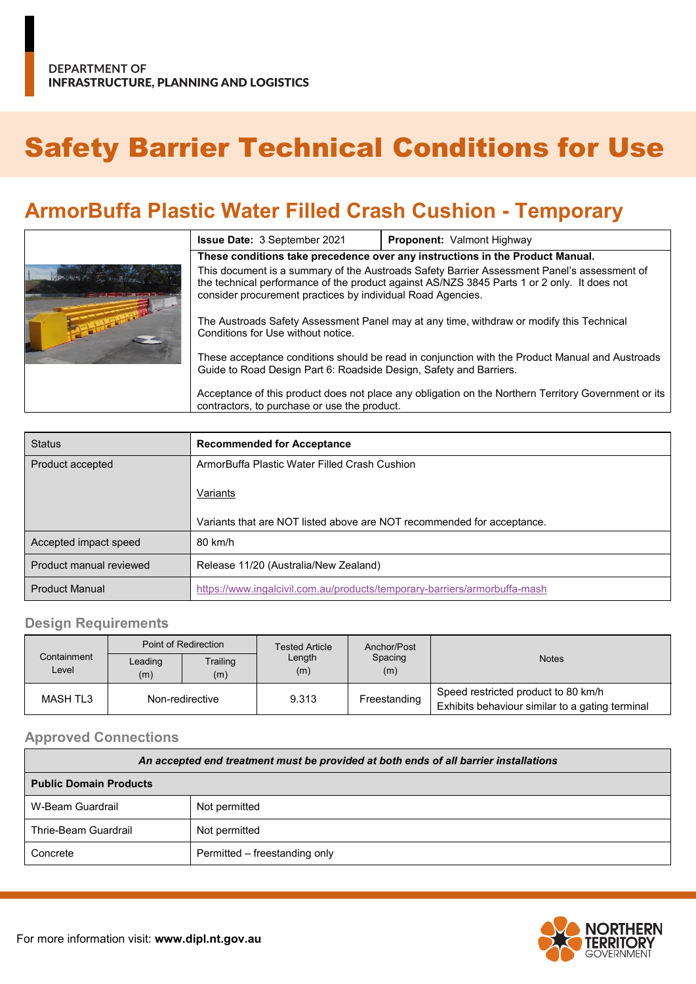# Safety Barrier Technical Conditions for Use

# **ArmorBuffa Plastic Water Filled Crash Cushion - Temporary**

|  | <b>Issue Date: 3 September 2021</b>                                                                                                                                                                                                                       | <b>Proponent: Valmont Highway</b> |  |  |  |
|--|-----------------------------------------------------------------------------------------------------------------------------------------------------------------------------------------------------------------------------------------------------------|-----------------------------------|--|--|--|
|  | These conditions take precedence over any instructions in the Product Manual.                                                                                                                                                                             |                                   |  |  |  |
|  | This document is a summary of the Austroads Safety Barrier Assessment Panel's assessment of<br>the technical performance of the product against AS/NZS 3845 Parts 1 or 2 only. It does not<br>consider procurement practices by individual Road Agencies. |                                   |  |  |  |
|  | The Austroads Safety Assessment Panel may at any time, withdraw or modify this Technical<br>Conditions for Use without notice.                                                                                                                            |                                   |  |  |  |
|  | These acceptance conditions should be read in conjunction with the Product Manual and Austroads<br>Guide to Road Design Part 6: Roadside Design, Safety and Barriers.                                                                                     |                                   |  |  |  |
|  | Acceptance of this product does not place any obligation on the Northern Territory Government or its<br>contractors, to purchase or use the product.                                                                                                      |                                   |  |  |  |

| <b>Status</b>           | <b>Recommended for Acceptance</b>                                         |  |
|-------------------------|---------------------------------------------------------------------------|--|
| Product accepted        | ArmorBuffa Plastic Water Filled Crash Cushion                             |  |
|                         | Variants                                                                  |  |
|                         | Variants that are NOT listed above are NOT recommended for acceptance.    |  |
| Accepted impact speed   | 80 km/h                                                                   |  |
| Product manual reviewed | Release 11/20 (Australia/New Zealand)                                     |  |
| <b>Product Manual</b>   | https://www.ingalcivil.com.au/products/temporary-barriers/armorbuffa-mash |  |

## **Design Requirements**

| Containment<br>Level | Point of Redirection |                 | <b>Tested Article</b> | Anchor/Post    |                                                                                        |
|----------------------|----------------------|-----------------|-----------------------|----------------|----------------------------------------------------------------------------------------|
|                      | Leading<br>(m)       | Trailing<br>(m) | Length<br>(m)         | Spacing<br>(m) | <b>Notes</b>                                                                           |
| MASH TL3             | Non-redirective      |                 | 9.313                 | Freestanding   | Speed restricted product to 80 km/h<br>Exhibits behaviour similar to a gating terminal |

#### **Approved Connections**

| An accepted end treatment must be provided at both ends of all barrier installations |                               |  |  |
|--------------------------------------------------------------------------------------|-------------------------------|--|--|
| <b>Public Domain Products</b>                                                        |                               |  |  |
| W-Beam Guardrail                                                                     | Not permitted                 |  |  |
| Thrie-Beam Guardrail                                                                 | Not permitted                 |  |  |
| Concrete                                                                             | Permitted – freestanding only |  |  |